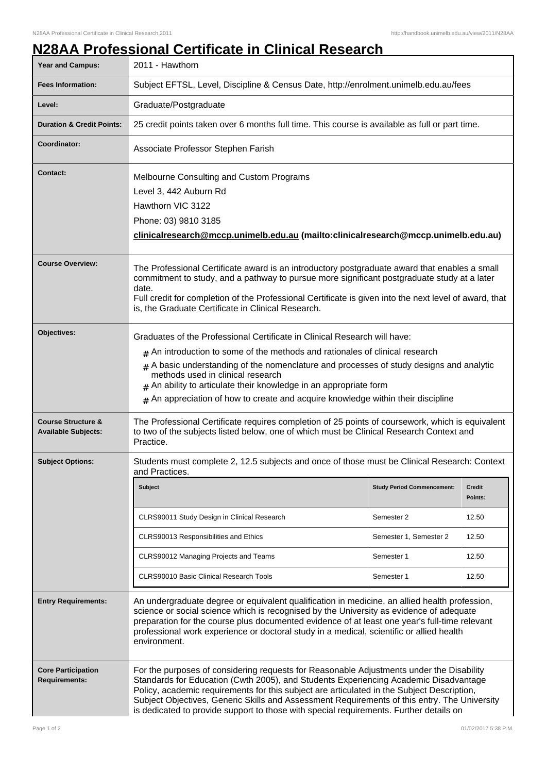## **N28AA Professional Certificate in Clinical Research**

| <b>Year and Campus:</b>                                     | 2011 - Hawthorn                                                                                                                                                                                                                                                                                                                                                                                                                                                          |                                   |                          |
|-------------------------------------------------------------|--------------------------------------------------------------------------------------------------------------------------------------------------------------------------------------------------------------------------------------------------------------------------------------------------------------------------------------------------------------------------------------------------------------------------------------------------------------------------|-----------------------------------|--------------------------|
| <b>Fees Information:</b>                                    | Subject EFTSL, Level, Discipline & Census Date, http://enrolment.unimelb.edu.au/fees                                                                                                                                                                                                                                                                                                                                                                                     |                                   |                          |
| Level:                                                      | Graduate/Postgraduate                                                                                                                                                                                                                                                                                                                                                                                                                                                    |                                   |                          |
| <b>Duration &amp; Credit Points:</b>                        | 25 credit points taken over 6 months full time. This course is available as full or part time.                                                                                                                                                                                                                                                                                                                                                                           |                                   |                          |
| Coordinator:                                                | Associate Professor Stephen Farish                                                                                                                                                                                                                                                                                                                                                                                                                                       |                                   |                          |
| <b>Contact:</b>                                             | Melbourne Consulting and Custom Programs<br>Level 3, 442 Auburn Rd<br>Hawthorn VIC 3122<br>Phone: 03) 9810 3185<br>clinicalresearch@mccp.unimelb.edu.au (mailto:clinicalresearch@mccp.unimelb.edu.au)                                                                                                                                                                                                                                                                    |                                   |                          |
| <b>Course Overview:</b>                                     | The Professional Certificate award is an introductory postgraduate award that enables a small<br>commitment to study, and a pathway to pursue more significant postgraduate study at a later<br>date.<br>Full credit for completion of the Professional Certificate is given into the next level of award, that<br>is, the Graduate Certificate in Clinical Research.                                                                                                    |                                   |                          |
| Objectives:                                                 | Graduates of the Professional Certificate in Clinical Research will have:<br>$#$ An introduction to some of the methods and rationales of clinical research<br>$#$ A basic understanding of the nomenclature and processes of study designs and analytic<br>methods used in clinical research<br>$#$ An ability to articulate their knowledge in an appropriate form<br>$#$ An appreciation of how to create and acquire knowledge within their discipline               |                                   |                          |
| <b>Course Structure &amp;</b><br><b>Available Subjects:</b> | The Professional Certificate requires completion of 25 points of coursework, which is equivalent<br>to two of the subjects listed below, one of which must be Clinical Research Context and<br>Practice.                                                                                                                                                                                                                                                                 |                                   |                          |
| <b>Subject Options:</b>                                     | Students must complete 2, 12.5 subjects and once of those must be Clinical Research: Context<br>and Practices.                                                                                                                                                                                                                                                                                                                                                           |                                   |                          |
|                                                             | Subject                                                                                                                                                                                                                                                                                                                                                                                                                                                                  | <b>Study Period Commencement:</b> | <b>Credit</b><br>Points: |
|                                                             | CLRS90011 Study Design in Clinical Research                                                                                                                                                                                                                                                                                                                                                                                                                              | Semester 2                        | 12.50                    |
|                                                             | CLRS90013 Responsibilities and Ethics                                                                                                                                                                                                                                                                                                                                                                                                                                    | Semester 1, Semester 2            | 12.50                    |
|                                                             | CLRS90012 Managing Projects and Teams                                                                                                                                                                                                                                                                                                                                                                                                                                    | Semester 1                        | 12.50                    |
|                                                             | <b>CLRS90010 Basic Clinical Research Tools</b>                                                                                                                                                                                                                                                                                                                                                                                                                           | Semester 1                        | 12.50                    |
| <b>Entry Requirements:</b>                                  | An undergraduate degree or equivalent qualification in medicine, an allied health profession,<br>science or social science which is recognised by the University as evidence of adequate<br>preparation for the course plus documented evidence of at least one year's full-time relevant<br>professional work experience or doctoral study in a medical, scientific or allied health<br>environment.                                                                    |                                   |                          |
| <b>Core Participation</b><br><b>Requirements:</b>           | For the purposes of considering requests for Reasonable Adjustments under the Disability<br>Standards for Education (Cwth 2005), and Students Experiencing Academic Disadvantage<br>Policy, academic requirements for this subject are articulated in the Subject Description,<br>Subject Objectives, Generic Skills and Assessment Requirements of this entry. The University<br>is dedicated to provide support to those with special requirements. Further details on |                                   |                          |